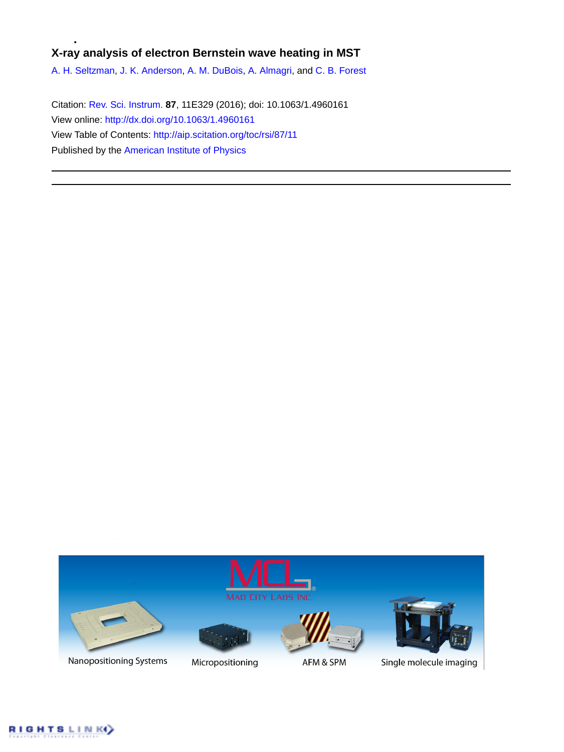# **X-ray analysis of electron Bernstein wave heating in MST**

[A. H. Seltzman,](http://aip.scitation.org/author/Seltzman%2C+A+H) [J. K. Anderson,](http://aip.scitation.org/author/Anderson%2C+J+K) [A. M. DuBois,](http://aip.scitation.org/author/DuBois%2C+A+M) [A. Almagri](http://aip.scitation.org/author/Almagri%2C+A), and [C. B. Forest](http://aip.scitation.org/author/Forest%2C+C+B)

Citation: [Rev. Sci. Instrum.](/loi/rsi) **87**, 11E329 (2016); doi: 10.1063/1.4960161 View online: <http://dx.doi.org/10.1063/1.4960161> View Table of Contents: <http://aip.scitation.org/toc/rsi/87/11> Published by the [American Institute of Physics](http://aip.scitation.org/publisher/)



Nanopositioning Systems



Micropositioning



AFM & SPM



Single molecule imaging

**GHTSLINK**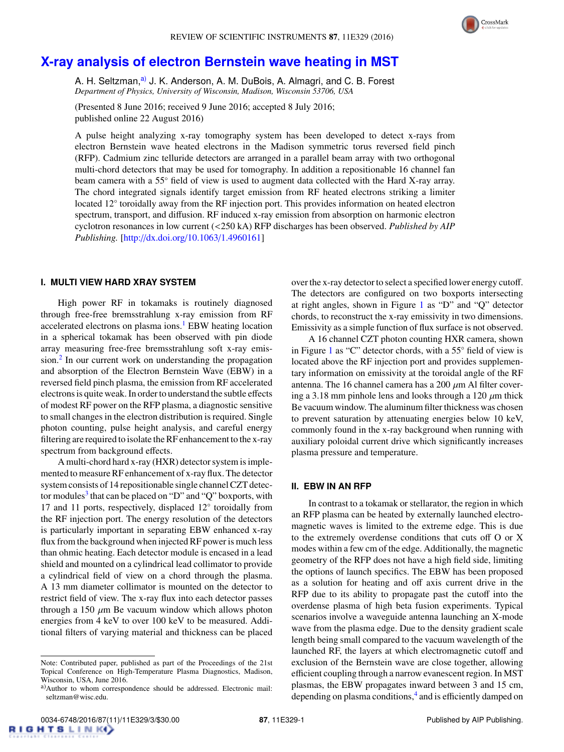

# **[X-ray analysis of electron Bernstein wave heating in MST](http://dx.doi.org/10.1063/1.4960161)**

A. H. Seltzman,<sup>[a\)](#page-1-0)</sup> J. K. Anderson, A. M. DuBois, A. Almagri, and C. B. Forest *Department of Physics, University of Wisconsin, Madison, Wisconsin 53706, USA*

(Presented 8 June 2016; received 9 June 2016; accepted 8 July 2016; published online 22 August 2016)

A pulse height analyzing x-ray tomography system has been developed to detect x-rays from electron Bernstein wave heated electrons in the Madison symmetric torus reversed field pinch (RFP). Cadmium zinc telluride detectors are arranged in a parallel beam array with two orthogonal multi-chord detectors that may be used for tomography. In addition a repositionable 16 channel fan beam camera with a 55◦ field of view is used to augment data collected with the Hard X-ray array. The chord integrated signals identify target emission from RF heated electrons striking a limiter located 12° toroidally away from the RF injection port. This provides information on heated electron spectrum, transport, and diffusion. RF induced x-ray emission from absorption on harmonic electron cyclotron resonances in low current (<250 kA) RFP discharges has been observed. *Published by AIP Publishing.* [\[http:](http://dx.doi.org/10.1063/1.4960161)//[dx.doi.org](http://dx.doi.org/10.1063/1.4960161)/[10.1063](http://dx.doi.org/10.1063/1.4960161)/[1.4960161\]](http://dx.doi.org/10.1063/1.4960161)

# **I. MULTI VIEW HARD XRAY SYSTEM**

High power RF in tokamaks is routinely diagnosed through free-free bremsstrahlung x-ray emission from RF accelerated electrons on plasma ions.<sup>[1](#page-3-0)</sup> EBW heating location in a spherical tokamak has been observed with pin diode array measuring free-free bremsstrahlung soft x-ray emis-sion.<sup>[2](#page-3-1)</sup> In our current work on understanding the propagation and absorption of the Electron Bernstein Wave (EBW) in a reversed field pinch plasma, the emission from RF accelerated electrons is quite weak. In order to understand the subtle effects of modest RF power on the RFP plasma, a diagnostic sensitive to small changes in the electron distribution is required. Single photon counting, pulse height analysis, and careful energy filtering are required to isolate the RF enhancement to the x-ray spectrum from background effects.

A multi-chord hard x-ray (HXR) detector system is implemented to measure RF enhancement of x-ray flux. The detector system consists of 14 repositionable single channel CZT detec-tor modules<sup>[3](#page-3-2)</sup> that can be placed on "D" and "Q" boxports, with 17 and 11 ports, respectively, displaced 12◦ toroidally from the RF injection port. The energy resolution of the detectors is particularly important in separating EBW enhanced x-ray flux from the background when injected RF power is much less than ohmic heating. Each detector module is encased in a lead shield and mounted on a cylindrical lead collimator to provide a cylindrical field of view on a chord through the plasma. A 13 mm diameter collimator is mounted on the detector to restrict field of view. The x-ray flux into each detector passes through a 150  $\mu$ m Be vacuum window which allows photon energies from 4 keV to over 100 keV to be measured. Additional filters of varying material and thickness can be placed over the x-ray detector to select a specified lower energy cutoff. The detectors are configured on two boxports intersecting at right angles, shown in Figure [1](#page-2-0) as "D" and "Q" detector chords, to reconstruct the x-ray emissivity in two dimensions. Emissivity as a simple function of flux surface is not observed.

A 16 channel CZT photon counting HXR camera, shown in Figure [1](#page-2-0) as "C" detector chords, with a 55◦ field of view is located above the RF injection port and provides supplementary information on emissivity at the toroidal angle of the RF antenna. The 16 channel camera has a 200  $\mu$ m Al filter covering a 3.18 mm pinhole lens and looks through a 120  $\mu$ m thick Be vacuum window. The aluminum filter thickness was chosen to prevent saturation by attenuating energies below 10 keV, commonly found in the x-ray background when running with auxiliary poloidal current drive which significantly increases plasma pressure and temperature.

#### **II. EBW IN AN RFP**

In contrast to a tokamak or stellarator, the region in which an RFP plasma can be heated by externally launched electromagnetic waves is limited to the extreme edge. This is due to the extremely overdense conditions that cuts off O or X modes within a few cm of the edge. Additionally, the magnetic geometry of the RFP does not have a high field side, limiting the options of launch specifics. The EBW has been proposed as a solution for heating and off axis current drive in the RFP due to its ability to propagate past the cutoff into the overdense plasma of high beta fusion experiments. Typical scenarios involve a waveguide antenna launching an X-mode wave from the plasma edge. Due to the density gradient scale length being small compared to the vacuum wavelength of the launched RF, the layers at which electromagnetic cutoff and exclusion of the Bernstein wave are close together, allowing efficient coupling through a narrow evanescent region. In MST plasmas, the EBW propagates inward between 3 and 15 cm, depending on plasma conditions,<sup>[4](#page-3-3)</sup> and is efficiently damped on

Note: Contributed paper, published as part of the Proceedings of the 21st Topical Conference on High-Temperature Plasma Diagnostics, Madison, Wisconsin, USA, June 2016.

<span id="page-1-0"></span>a)Author to whom correspondence should be addressed. Electronic mail: seltzman@wisc.edu.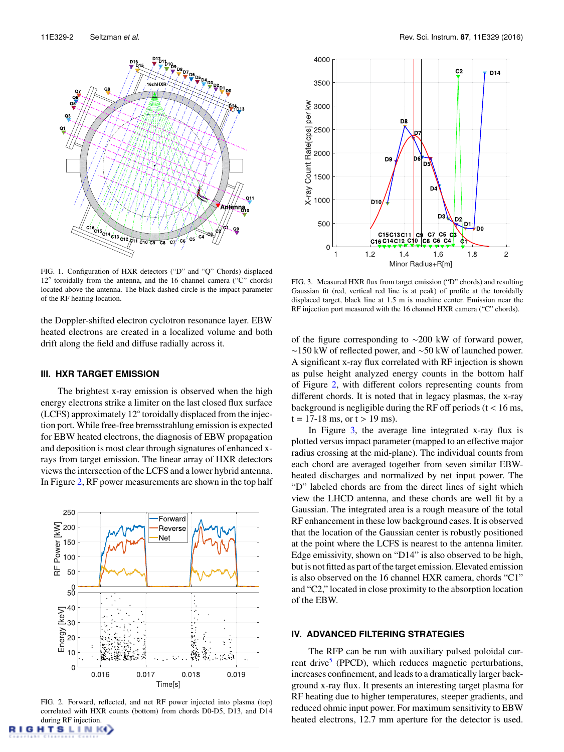<span id="page-2-0"></span>

FIG. 1. Configuration of HXR detectors ("D" and "Q" Chords) displaced 12° toroidally from the antenna, and the 16 channel camera ("C" chords) located above the antenna. The black dashed circle is the impact parameter of the RF heating location.

the Doppler-shifted electron cyclotron resonance layer. EBW heated electrons are created in a localized volume and both drift along the field and diffuse radially across it.

#### **III. HXR TARGET EMISSION**

The brightest x-ray emission is observed when the high energy electrons strike a limiter on the last closed flux surface (LCFS) approximately 12◦ toroidally displaced from the injection port. While free-free bremsstrahlung emission is expected for EBW heated electrons, the diagnosis of EBW propagation and deposition is most clear through signatures of enhanced xrays from target emission. The linear array of HXR detectors views the intersection of the LCFS and a lower hybrid antenna. In Figure [2,](#page-2-1) RF power measurements are shown in the top half

<span id="page-2-1"></span>

FIG. 2. Forward, reflected, and net RF power injected into plasma (top) correlated with HXR counts (bottom) from chords D0-D5, D13, and D14 during RF injection.

**HTSLINK()** 

<span id="page-2-2"></span>

FIG. 3. Measured HXR flux from target emission ("D" chords) and resulting Gaussian fit (red, vertical red line is at peak) of profile at the toroidally displaced target, black line at 1.5 m is machine center. Emission near the RF injection port measured with the 16 channel HXR camera ("C" chords).

of the figure corresponding to ∼200 kW of forward power, ∼150 kW of reflected power, and ∼50 kW of launched power. A significant x-ray flux correlated with RF injection is shown as pulse height analyzed energy counts in the bottom half of Figure [2,](#page-2-1) with different colors representing counts from different chords. It is noted that in legacy plasmas, the x-ray background is negligible during the RF off periods  $(t < 16 \text{ ms})$ ,  $t = 17-18$  ms, or  $t > 19$  ms).

In Figure [3,](#page-2-2) the average line integrated x-ray flux is plotted versus impact parameter (mapped to an effective major radius crossing at the mid-plane). The individual counts from each chord are averaged together from seven similar EBWheated discharges and normalized by net input power. The "D" labeled chords are from the direct lines of sight which view the LHCD antenna, and these chords are well fit by a Gaussian. The integrated area is a rough measure of the total RF enhancement in these low background cases. It is observed that the location of the Gaussian center is robustly positioned at the point where the LCFS is nearest to the antenna limiter. Edge emissivity, shown on "D14" is also observed to be high, but is not fitted as part of the target emission. Elevated emission is also observed on the 16 channel HXR camera, chords "C1" and "C2," located in close proximity to the absorption location of the EBW.

### **IV. ADVANCED FILTERING STRATEGIES**

The RFP can be run with auxiliary pulsed poloidal cur-rent drive<sup>[5](#page-3-4)</sup> (PPCD), which reduces magnetic perturbations, increases confinement, and leads to a dramatically larger background x-ray flux. It presents an interesting target plasma for RF heating due to higher temperatures, steeper gradients, and reduced ohmic input power. For maximum sensitivity to EBW heated electrons, 12.7 mm aperture for the detector is used.